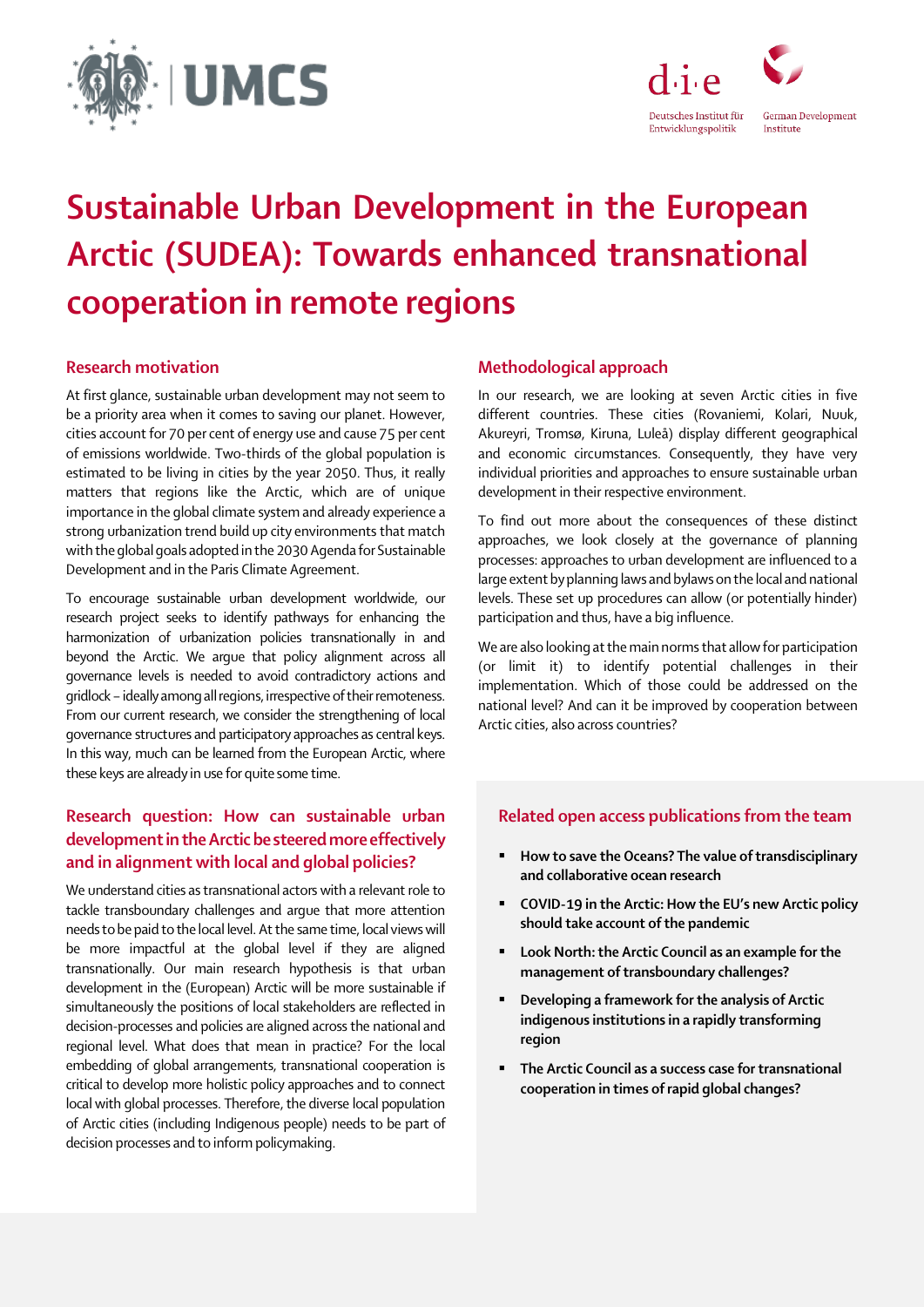



# Sustainable Urban Development in the European Arctic (SUDEA): Towards enhanced transnational cooperation in remote regions

## Research motivation

At first glance, sustainable urban development may not seem to be a priority area when it comes to saving our planet. However, cities account for 70 per cent of energy use and cause 75 per cent of emissions worldwide. Two-thirds of the global population is estimated to be living in cities by the year 2050. Thus, it really matters that regions like the Arctic, which are of unique importance in the global climate system and already experience a strong urbanization trend build up city environments that match with the global goals adopted in the 2030 Agenda for Sustainable Development and in the Paris Climate Agreement.

To encourage sustainable urban development worldwide, our research project seeks to identify pathways for enhancing the harmonization of urbanization policies transnationally in and beyond the Arctic. We argue that policy alignment across all governance levels is needed to avoid contradictory actions and gridlock - ideally among all regions, irrespective of their remoteness. From our current research, we consider the strengthening of local governance structures and participatory approaches as central keys. In this way, much can be learned from the European Arctic, where these keys are already in use for quite some time.

# Research question: How can sustainable urban development in the Arctic be steered more effectively and in alignment with local and global policies?

We understand cities as transnational actors with a relevant role to tackle transboundary challenges and argue that more attention needs to be paid to the local level. At the same time, local views will be more impactful at the global level if they are aligned transnationally. Our main research hypothesis is that urban development in the (European) Arctic will be more sustainable if simultaneously the positions of local stakeholders are reflected in decision-processes and policies are aligned across the national and regional level. What does that mean in practice? For the local embedding of global arrangements, transnational cooperation is critical to develop more holistic policy approaches and to connect local with global processes. Therefore, the diverse local population of Arctic cities (including Indigenous people) needs to be part of decision processes and to inform policymaking.

### Methodological approach

In our research, we are looking at seven Arctic cities in five different countries. These cities (Rovaniemi, Kolari, Nuuk, Akureyri, Tromsø, Kiruna, Luleå) display different geographical and economic circumstances. Consequently, they have very individual priorities and approaches to ensure sustainable urban development in their respective environment.

To find out more about the consequences of these distinct approaches, we look closely at the governance of planning processes: approaches to urban development are influenced to a large extent by planning laws and bylaws on the local and national levels. These set up procedures can allow (or potentially hinder) participation and thus, have a big influence.

We are also looking at the main norms that allow for participation (or limit it) to identify potential challenges in their implementation. Which of those could be addressed on the national level? And can it be improved by cooperation between Arctic cities, also across countries?

### Related open access publications from the team

- **How to save the Oceans? The value of transdisciplinary** [and collaborative ocean research](https://www.die-gdi.de/en/the-current-column/article/the-value-of-transdisciplinary-and-collaborative-ocean-research/)
- [COVID-19 in the Arctic: How the EU's new Arctic policy](https://www.die-gdi.de/en/the-current-column/article/how-the-eus-new-arctic-policy-should-take-account-of-the-pandemic/)  [should take account of the pandemic](https://www.die-gdi.de/en/the-current-column/article/how-the-eus-new-arctic-policy-should-take-account-of-the-pandemic/)
- [Look North: the Arctic Council as an example for the](https://www.die-gdi.de/en/publications/mitarbeiter-sonstige/article/look-north-the-arctic-council-as-an-example-for-the-management-of-transboundary-challenges/)  [management of transboundary challenges?](https://www.die-gdi.de/en/publications/mitarbeiter-sonstige/article/look-north-the-arctic-council-as-an-example-for-the-management-of-transboundary-challenges/)
- [Developing a framework for the analysis of Arctic](https://www.die-gdi.de/en/others-publications/article/developing-a-framework-for-the-analysis-of-arctic-indigenous-institutions-in-a-rapidly-transforming-region/)  [indigenous institutions in a rapidly transforming](https://www.die-gdi.de/en/others-publications/article/developing-a-framework-for-the-analysis-of-arctic-indigenous-institutions-in-a-rapidly-transforming-region/)  [region](https://www.die-gdi.de/en/others-publications/article/developing-a-framework-for-the-analysis-of-arctic-indigenous-institutions-in-a-rapidly-transforming-region/)
- **The Arctic Council as a success case for transnational** [cooperation in times of rapid global changes?](https://www.die-gdi.de/en/others-publications/article/the-arctic-council-as-a-success-case-for-transnational-cooperation-in-times-of-rapid-global-changes/)